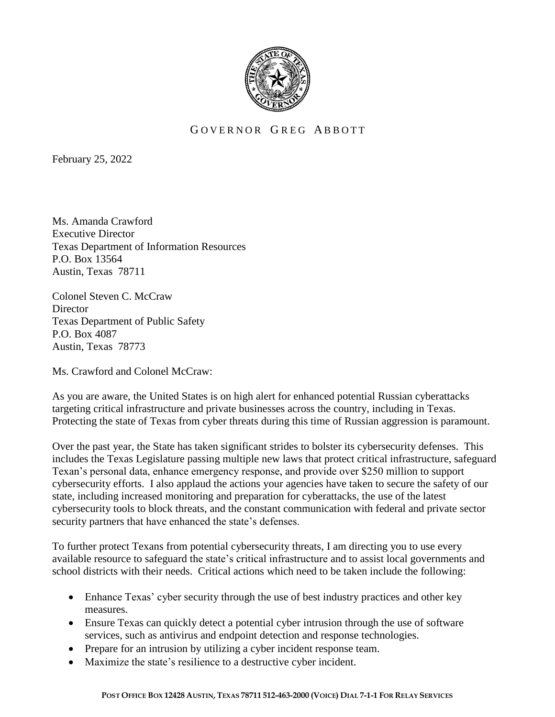

## GOVERNOR GREG ABBOTT

February 25, 2022

Ms. Amanda Crawford Executive Director Texas Department of Information Resources P.O. Box 13564 Austin, Texas 78711

Colonel Steven C. McCraw **Director** Texas Department of Public Safety P.O. Box 4087 Austin, Texas 78773

Ms. Crawford and Colonel McCraw:

As you are aware, the United States is on high alert for enhanced potential Russian cyberattacks targeting critical infrastructure and private businesses across the country, including in Texas. Protecting the state of Texas from cyber threats during this time of Russian aggression is paramount.

Over the past year, the State has taken significant strides to bolster its cybersecurity defenses. This includes the Texas Legislature passing multiple new laws that protect critical infrastructure, safeguard Texan's personal data, enhance emergency response, and provide over \$250 million to support cybersecurity efforts. I also applaud the actions your agencies have taken to secure the safety of our state, including increased monitoring and preparation for cyberattacks, the use of the latest cybersecurity tools to block threats, and the constant communication with federal and private sector security partners that have enhanced the state's defenses.

To further protect Texans from potential cybersecurity threats, I am directing you to use every available resource to safeguard the state's critical infrastructure and to assist local governments and school districts with their needs. Critical actions which need to be taken include the following:

- Enhance Texas' cyber security through the use of best industry practices and other key measures.
- Ensure Texas can quickly detect a potential cyber intrusion through the use of software services, such as antivirus and endpoint detection and response technologies.
- Prepare for an intrusion by utilizing a cyber incident response team.
- Maximize the state's resilience to a destructive cyber incident.